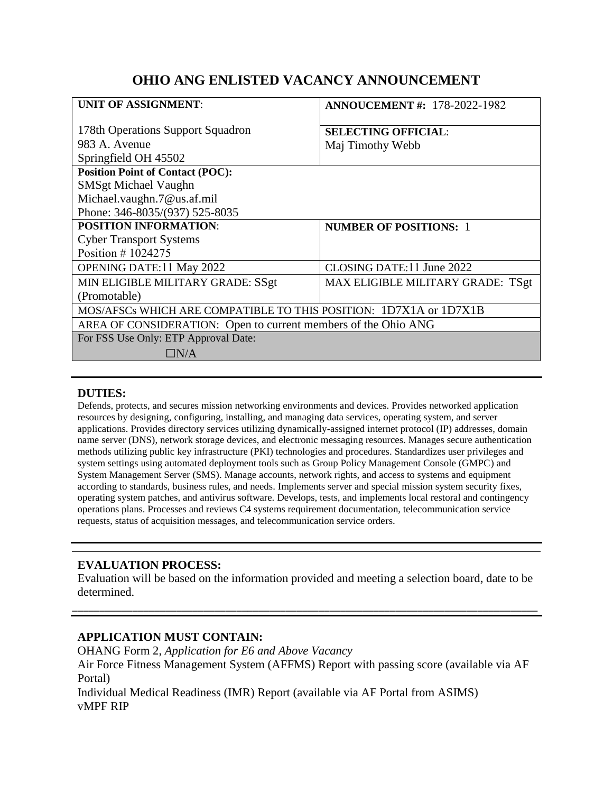# **OHIO ANG ENLISTED VACANCY ANNOUNCEMENT**

| <b>UNIT OF ASSIGNMENT:</b>                                        | <b>ANNOUCEMENT #: 178-2022-1982</b> |
|-------------------------------------------------------------------|-------------------------------------|
| 178th Operations Support Squadron                                 | <b>SELECTING OFFICIAL:</b>          |
| 983 A. Avenue                                                     | Maj Timothy Webb                    |
| Springfield OH 45502                                              |                                     |
| <b>Position Point of Contact (POC):</b>                           |                                     |
| <b>SMSgt Michael Vaughn</b>                                       |                                     |
| Michael.vaughn.7@us.af.mil                                        |                                     |
| Phone: 346-8035/(937) 525-8035                                    |                                     |
| <b>POSITION INFORMATION:</b>                                      | <b>NUMBER OF POSITIONS: 1</b>       |
| <b>Cyber Transport Systems</b>                                    |                                     |
| Position $\#$ 1024275                                             |                                     |
| <b>OPENING DATE:11 May 2022</b>                                   | CLOSING DATE:11 June 2022           |
| MIN ELIGIBLE MILITARY GRADE: SSgt                                 | MAX ELIGIBLE MILITARY GRADE: TSgt   |
| (Promotable)                                                      |                                     |
| MOS/AFSCs WHICH ARE COMPATIBLE TO THIS POSITION: 1D7X1A or 1D7X1B |                                     |
| AREA OF CONSIDERATION: Open to current members of the Ohio ANG    |                                     |
| For FSS Use Only: ETP Approval Date:                              |                                     |
| $\Box N/A$                                                        |                                     |
|                                                                   |                                     |

### **DUTIES:**

Defends, protects, and secures mission networking environments and devices. Provides networked application resources by designing, configuring, installing, and managing data services, operating system, and server applications. Provides directory services utilizing dynamically-assigned internet protocol (IP) addresses, domain name server (DNS), network storage devices, and electronic messaging resources. Manages secure authentication methods utilizing public key infrastructure (PKI) technologies and procedures. Standardizes user privileges and system settings using automated deployment tools such as Group Policy Management Console (GMPC) and System Management Server (SMS). Manage accounts, network rights, and access to systems and equipment according to standards, business rules, and needs. Implements server and special mission system security fixes, operating system patches, and antivirus software. Develops, tests, and implements local restoral and contingency operations plans. Processes and reviews C4 systems requirement documentation, telecommunication service requests, status of acquisition messages, and telecommunication service orders.

### **EVALUATION PROCESS:**

Evaluation will be based on the information provided and meeting a selection board, date to be determined.

\_\_\_\_\_\_\_\_\_\_\_\_\_\_\_\_\_\_\_\_\_\_\_\_\_\_\_\_\_\_\_\_\_\_\_\_\_\_\_\_\_\_\_\_\_\_\_\_\_\_\_\_\_\_\_\_\_\_\_\_\_\_\_\_\_\_\_\_\_\_\_\_\_\_\_\_\_\_\_\_\_\_\_\_\_

### **APPLICATION MUST CONTAIN:**

OHANG Form 2, *Application for E6 and Above Vacancy* Air Force Fitness Management System (AFFMS) Report with passing score (available via AF Portal) Individual Medical Readiness (IMR) Report (available via AF Portal from ASIMS) vMPF RIP